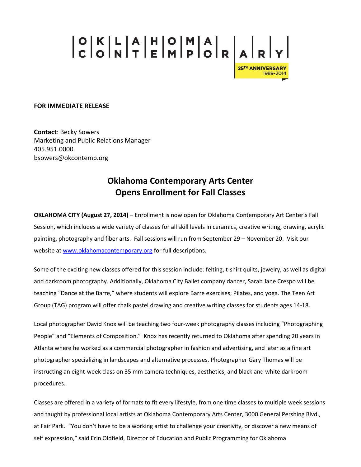## 

## **FOR IMMEDIATE RELEASE**

**Contact**: Becky Sowers Marketing and Public Relations Manager 405.951.0000 bsowers@okcontemp.org

## **Oklahoma Contemporary Arts Center Opens Enrollment for Fall Classes**

**OKLAHOMA CITY (August 27, 2014)** – Enrollment is now open for Oklahoma Contemporary Art Center's Fall Session, which includes a wide variety of classes for all skill levels in ceramics, creative writing, drawing, acrylic painting, photography and fiber arts. Fall sessions will run from September 29 – November 20. Visit our website a[t www.oklahomacontemporary.org](http://www.oklahomacontemporary.org/) for full descriptions.

Some of the exciting new classes offered for this session include: felting, t-shirt quilts, jewelry, as well as digital and darkroom photography. Additionally, Oklahoma City Ballet company dancer, Sarah Jane Crespo will be teaching "Dance at the Barre," where students will explore Barre exercises, Pilates, and yoga. The Teen Art Group (TAG) program will offer chalk pastel drawing and creative writing classes for students ages 14-18.

Local photographer David Knox will be teaching two four-week photography classes including "Photographing People" and "Elements of Composition." Knox has recently returned to Oklahoma after spending 20 years in Atlanta where he worked as a commercial photographer in fashion and advertising, and later as a fine art photographer specializing in landscapes and alternative processes. Photographer Gary Thomas will be instructing an eight-week class on 35 mm camera techniques, aesthetics, and black and white darkroom procedures.

Classes are offered in a variety of formats to fit every lifestyle, from one time classes to multiple week sessions and taught by professional local artists at Oklahoma Contemporary Arts Center, 3000 General Pershing Blvd., at Fair Park. "You don't have to be a working artist to challenge your creativity, or discover a new means of self expression," said Erin Oldfield, Director of Education and Public Programming for Oklahoma